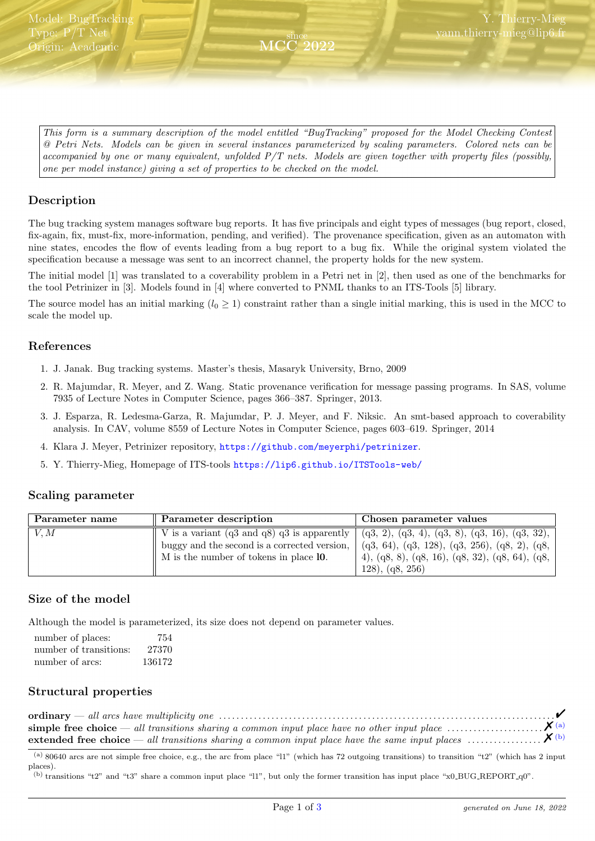<span id="page-0-2"></span>This form is a summary description of the model entitled "BugTracking" proposed for the Model Checking Contest @ Petri Nets. Models can be given in several instances parameterized by scaling parameters. Colored nets can be accompanied by one or many equivalent, unfolded P/T nets. Models are given together with property files (possibly, one per model instance) giving a set of properties to be checked on the model.

since MCC 2022

# Description

The bug tracking system manages software bug reports. It has five principals and eight types of messages (bug report, closed, fix-again, fix, must-fix, more-information, pending, and verified). The provenance specification, given as an automaton with nine states, encodes the flow of events leading from a bug report to a bug fix. While the original system violated the specification because a message was sent to an incorrect channel, the property holds for the new system.

The initial model [1] was translated to a coverability problem in a Petri net in [2], then used as one of the benchmarks for the tool Petrinizer in [3]. Models found in [4] where converted to PNML thanks to an ITS-Tools [5] library.

The source model has an initial marking  $(l_0 \geq 1)$  constraint rather than a single initial marking, this is used in the MCC to scale the model up.

## References

- 1. J. Janak. Bug tracking systems. Master's thesis, Masaryk University, Brno, 2009
- 2. R. Majumdar, R. Meyer, and Z. Wang. Static provenance verification for message passing programs. In SAS, volume 7935 of Lecture Notes in Computer Science, pages 366–387. Springer, 2013.
- 3. J. Esparza, R. Ledesma-Garza, R. Majumdar, P. J. Meyer, and F. Niksic. An smt-based approach to coverability analysis. In CAV, volume 8559 of Lecture Notes in Computer Science, pages 603–619. Springer, 2014
- 4. Klara J. Meyer, Petrinizer repository, <https://github.com/meyerphi/petrinizer>.
- 5. Y. Thierry-Mieg, Homepage of ITS-tools <https://lip6.github.io/ITSTools-web/>

#### Scaling parameter

| Parameter description<br>Parameter name |                                                          | Chosen parameter values                                       |  |  |
|-----------------------------------------|----------------------------------------------------------|---------------------------------------------------------------|--|--|
| V, M                                    | V is a variant $(q3 \text{ and } q8)$ $q3$ is apparently | $(q3, 2), (q3, 4), (q3, 8), (q3, 16), (q3, 32),$              |  |  |
|                                         | buggy and the second is a corrected version,             | $\vert$ (q3, 64), (q3, 128), (q3, 256), (q8, 2), (q8, $\vert$ |  |  |
|                                         | M is the number of tokens in place 10.                   | 4), (q8, 8), (q8, 16), (q8, 32), (q8, 64), (q8, $ $           |  |  |
|                                         |                                                          | (128), (q8, 256)                                              |  |  |

## Size of the model

Although the model is parameterized, its size does not depend on parameter values.

| number of places:      | 754    |
|------------------------|--------|
| number of transitions: | 27370  |
| number of arcs:        | 136172 |

## Structural properties

<span id="page-0-0"></span>(a) 80640 arcs are not simple free choice, e.g., the arc from place "l1" (which has 72 outgoing transitions) to transition "t2" (which has 2 input places).

<span id="page-0-1"></span>(b) transitions "t2" and "t3" share a common input place "l1", but only the former transition has input place "x0 BUG REPORT q0".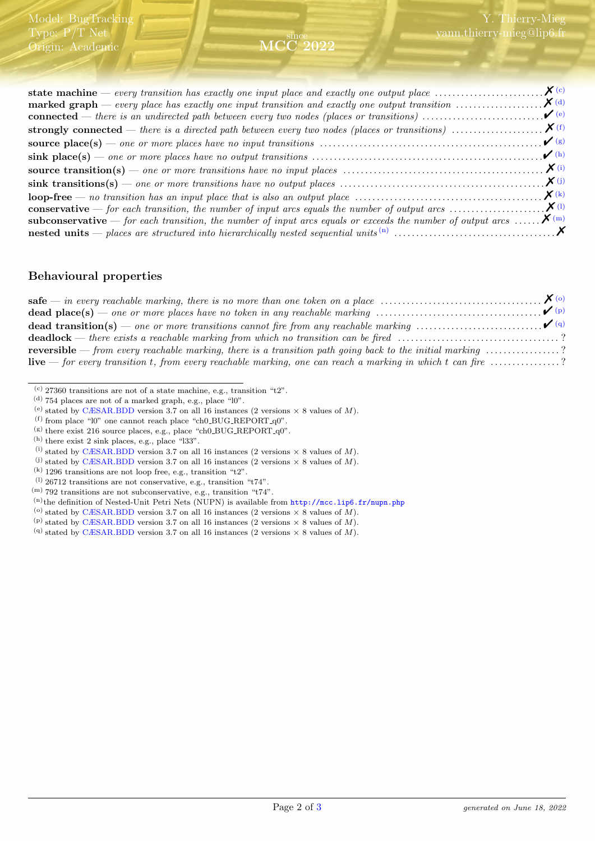#### since MCC 2022

| marked graph — every place has exactly one input transition and exactly one output transition $\ldots \ldots \ldots \ldots$           |               |
|---------------------------------------------------------------------------------------------------------------------------------------|---------------|
|                                                                                                                                       | $\bullet$ (e) |
|                                                                                                                                       |               |
|                                                                                                                                       |               |
|                                                                                                                                       |               |
|                                                                                                                                       |               |
|                                                                                                                                       |               |
|                                                                                                                                       |               |
|                                                                                                                                       |               |
| <b>subconservative</b> — for each transition, the number of input arcs equals or exceeds the number of output arcs $\mathbf{X}^{(m)}$ |               |
|                                                                                                                                       |               |
|                                                                                                                                       |               |

## Behavioural properties

| <b>dead place(s)</b> — one or more places have no token in any reachable marking $\ldots \ldots \ldots \ldots \ldots \ldots \ldots \ldots \ldots \ldots$ |  |
|----------------------------------------------------------------------------------------------------------------------------------------------------------|--|
|                                                                                                                                                          |  |
|                                                                                                                                                          |  |
| <b>reversible</b> — from every reachable marking, there is a transition path going back to the initial marking $\ldots \ldots \ldots \ldots$ ?           |  |
| <b>live</b> — for every transition t, from every reachable marking, one can reach a marking in which t can fire $\ldots$ ?                               |  |

<span id="page-1-0"></span> $^{\rm (c)}$  27360 transitions are not of a state machine, e.g., transition "t2".

<span id="page-1-4"></span> $($ g) there exist 216 source places, e.g., place "ch0\_BUG\_REPORT\_q0".

- <span id="page-1-9"></span> $(1)$  26712 transitions are not conservative, e.g., transition "t74".
- <span id="page-1-10"></span> $^{(m)}$  792 transitions are not subconservative, e.g., transition "t74".
- <span id="page-1-11"></span>(n)the definition of Nested-Unit Petri Nets (NUPN) is available from <http://mcc.lip6.fr/nupn.php>
- <span id="page-1-12"></span> $^{(o)}$  stated by [CÆSAR.BDD](http://cadp.inria.fr/man/caesar.bdd.html) version 3.7 on all 16 instances (2 versions  $\times$  8 values of  $M).$
- <span id="page-1-13"></span>(p) stated by [CÆSAR.BDD](http://cadp.inria.fr/man/caesar.bdd.html) version 3.7 on all 16 instances (2 versions  $\times$  8 values of M).

<span id="page-1-1"></span> $^{(d)}$  754 places are not of a marked graph, e.g., place "l0".

<span id="page-1-2"></span><sup>(</sup>e) stated by [CÆSAR.BDD](http://cadp.inria.fr/man/caesar.bdd.html) version 3.7 on all 16 instances (2 versions  $\times$  8 values of M).

<span id="page-1-3"></span> $^{(f)}$  from place "l0" one cannot reach place "ch0\_BUG\_REPORT\_q0".

<span id="page-1-5"></span> $(h)$  there exist 2 sink places, e.g., place "l33".

<span id="page-1-6"></span><sup>(</sup>i) stated by [CÆSAR.BDD](http://cadp.inria.fr/man/caesar.bdd.html) version 3.7 on all 16 instances (2 versions  $\times$  8 values of M).

<span id="page-1-7"></span><sup>(</sup>i) stated by [CÆSAR.BDD](http://cadp.inria.fr/man/caesar.bdd.html) version 3.7 on all 16 instances (2 versions  $\times$  8 values of M).

<span id="page-1-8"></span> $(k)$  1296 transitions are not loop free, e.g., transition "t2".

<span id="page-1-14"></span><sup>(</sup>q) stated by [CÆSAR.BDD](http://cadp.inria.fr/man/caesar.bdd.html) version 3.7 on all 16 instances (2 versions  $\times$  8 values of M).